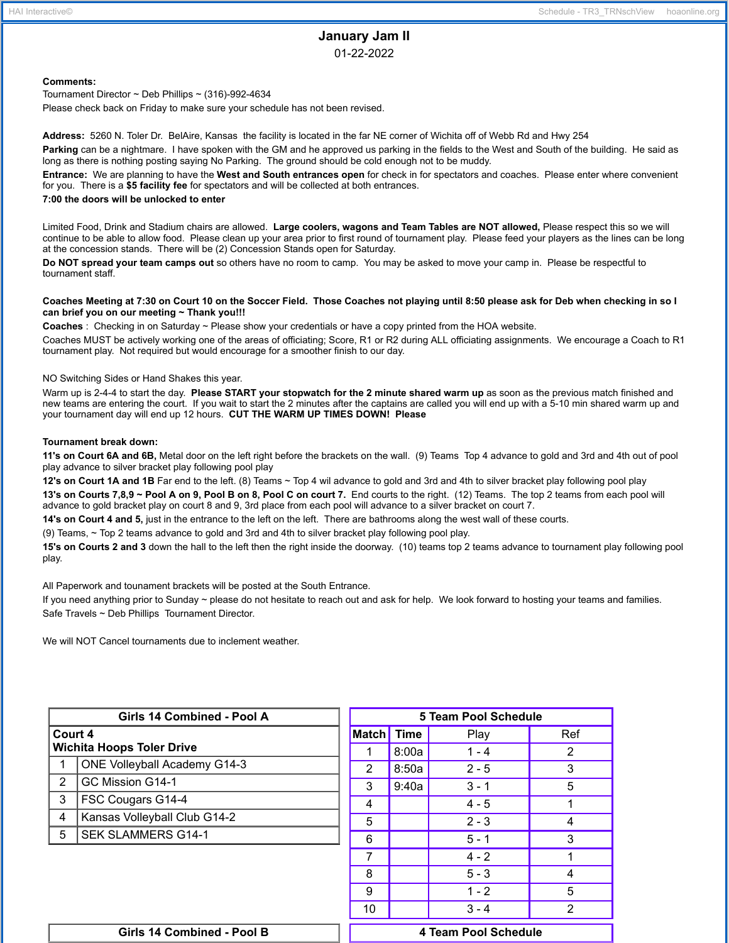# **January Jam II**

01-22-2022

## **Comments:**

Tournament Director ~ Deb Phillips ~ (316)-992-4634 Please check back on Friday to make sure your schedule has not been revised.

**Address:** 5260 N. Toler Dr. BelAire, Kansas the facility is located in the far NE corner of Wichita off of Webb Rd and Hwy 254

**Parking** can be a nightmare. I have spoken with the GM and he approved us parking in the fields to the West and South of the building. He said as long as there is nothing posting saying No Parking. The ground should be cold enough not to be muddy.

**Entrance:** We are planning to have the **West and South entrances open** for check in for spectators and coaches. Please enter where convenient for you. There is a **\$5 facility fee** for spectators and will be collected at both entrances.

## **7:00 the doors will be unlocked to enter**

Limited Food, Drink and Stadium chairs are allowed. **Large coolers, wagons and Team Tables are NOT allowed,** Please respect this so we will continue to be able to allow food. Please clean up your area prior to first round of tournament play. Please feed your players as the lines can be long at the concession stands. There will be (2) Concession Stands open for Saturday.

**Do NOT spread your team camps out** so others have no room to camp. You may be asked to move your camp in. Please be respectful to tournament staff.

### Coaches Meeting at 7:30 on Court 10 on the Soccer Field. Those Coaches not playing until 8:50 please ask for Deb when checking in so I **can brief you on our meeting ~ Thank you!!!**

**Coaches** : Checking in on Saturday ~ Please show your credentials or have a copy printed from the HOA website.

Coaches MUST be actively working one of the areas of officiating; Score, R1 or R2 during ALL officiating assignments. We encourage a Coach to R1 tournament play. Not required but would encourage for a smoother finish to our day.

NO Switching Sides or Hand Shakes this year.

Warm up is 2-4-4 to start the day. **Please START your stopwatch for the 2 minute shared warm up** as soon as the previous match finished and new teams are entering the court. If you wait to start the 2 minutes after the captains are called you will end up with a 5-10 min shared warm up and your tournament day will end up 12 hours. **CUT THE WARM UP TIMES DOWN! Please**

#### **Tournament break down:**

**11's on Court 6A and 6B,** Metal door on the left right before the brackets on the wall. (9) Teams Top 4 advance to gold and 3rd and 4th out of pool play advance to silver bracket play following pool play

**12's on Court 1A and 1B** Far end to the left. (8) Teams ~ Top 4 wil advance to gold and 3rd and 4th to silver bracket play following pool play

13's on Courts 7,8,9 ~ Pool A on 9, Pool B on 8, Pool C on court 7. End courts to the right. (12) Teams. The top 2 teams from each pool will advance to gold bracket play on court 8 and 9, 3rd place from each pool will advance to a silver bracket on court 7.

**14's on Court 4 and 5,** just in the entrance to the left on the left. There are bathrooms along the west wall of these courts.

(9) Teams, ~ Top 2 teams advance to gold and 3rd and 4th to silver bracket play following pool play.

**15's on Courts 2 and 3** down the hall to the left then the right inside the doorway. (10) teams top 2 teams advance to tournament play following pool play.

All Paperwork and tounament brackets will be posted at the South Entrance.

If you need anything prior to Sunday ~ please do not hesitate to reach out and ask for help. We look forward to hosting your teams and families. Safe Travels ~ Deb Phillips Tournament Director.

We will NOT Cancel tournaments due to inclement weather.

| Girls 14 Combined - Pool A       |                                     |  | <b>5 Team Pool Schedule</b> |             |         |                |  |
|----------------------------------|-------------------------------------|--|-----------------------------|-------------|---------|----------------|--|
| Court 4                          |                                     |  | <b>Match</b>                | <b>Time</b> | Play    | Ref            |  |
| <b>Wichita Hoops Toler Drive</b> |                                     |  | 8:00a                       | $1 - 4$     | 2       |                |  |
|                                  | <b>ONE Volleyball Academy G14-3</b> |  | $\overline{2}$              | 8:50a       | $2 - 5$ | 3              |  |
| 2                                | GC Mission G14-1                    |  | 3                           | 9:40a       | $3 - 1$ | 5              |  |
| 3                                | FSC Cougars G14-4                   |  | 4                           |             | $4 - 5$ |                |  |
| 4                                | Kansas Volleyball Club G14-2        |  | 5                           |             | $2 - 3$ | 4              |  |
| 5                                | <b>SEK SLAMMERS G14-1</b>           |  | 6                           |             | $5 - 1$ | 3              |  |
|                                  |                                     |  | $\overline{7}$              |             | $4 - 2$ |                |  |
|                                  |                                     |  | 8                           |             | $5 - 3$ | 4              |  |
|                                  |                                     |  | 9                           |             | $1 - 2$ | 5              |  |
|                                  |                                     |  | 10                          |             | $3 - 4$ | $\overline{2}$ |  |
| Girls 14 Combined - Pool B       |                                     |  | 4 Team Pool Schedule        |             |         |                |  |